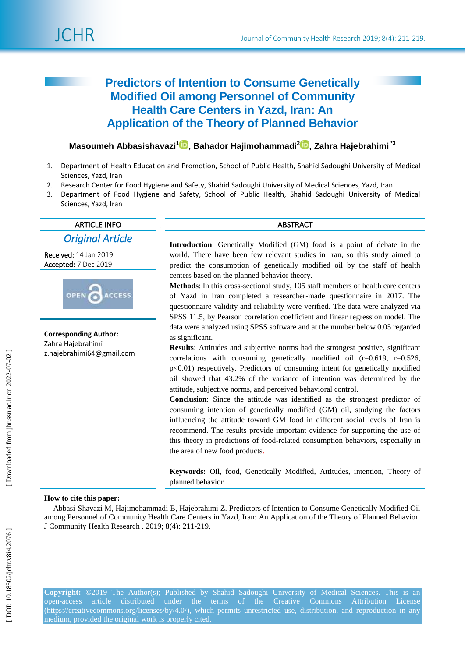

# **Predictors of Intention to Consume Genetically Modified Oil among Personnel of Community Health Care Centers in Yazd, Iran: An Application of the Theory of Planned Behavior**

# $\blacksquare$  Masoumeh Abbasishavazi $^{1}$  $^{1}$  $^{1}$   $\blacksquare$  , Bahador Hajimohammadi $^{2}$  $^{2}$  $^{2}$   $\blacksquare$  , Zahra Hajebrahimi  $^{*3}$

- 1 . Department of Health Education and Promotion, School of Public Health, Shahid Sadoughi University of Medical Sciences, Yazd, Iran
- $2<sup>2</sup>$ . Research Center for Food Hygiene and Safety, Shahid Sadoughi University of Medical Sciences, Yazd, Iran
- 3 . Department of Food Hygiene and Safety, School of Public Health, Shahid Sadoughi University of Medical Sciences, Yazd, Iran

# ARTICLE INFO ABSTRACT

*Original Article* 

Received: 14 Jan 201 9 Accepted: <sup>7</sup> Dec <sup>2019</sup>



**Corresponding Author:** Zahra Hajebrahimi z.hajebrahimi64@gmail.com

**Introduction**: Genetically Modified (GM) food is a point of debate in the world. There have been few relevant studies in Iran, so this study aimed to predict the consumption of genetically modified oil by the staff of health centers based on the planned behavior theory.

**Methods** : In this cross -sectional study, 105 staff members of health care centers of Yazd in Iran completed a researcher -made questionnaire in 201 7. The questionnaire validity and reliability were verified. The data were analyzed via SPSS 11.5, by Pearson correlation coefficient and linear regression model. The data were analyzed using SPSS software and at the number below 0.05 regarded as significant. world. There have<br>predict the cons<br>centers based on<br>**Methods**: In this<br>of Yazd in Iran<br>questionnaire val<br>SPSS 11.5, by Pe<br>data were analyze<br>as significant.<br>**Results**: Attitude<br>correlations with<br>p<0.01) respectiv<br>oil showe

**Results**: Attitudes and subjective norms had the strongest positive, significant correlations with consuming genetically modified oil (r=0.619, r=0.526, p<0.01) respectively. Predictors of consuming intent for genetically modified oil showed that 43.2% of the variance of intention was determined by the attitude, subjective norms, and perceived behavioral control.

**Conclusion**: Since the attitude was identified as the strongest predictor of consuming intention of genetically modified (GM) oil, studying the factors influencing the attitude toward GM food in different social levels of Iran is recommend. The results provide important evidence for supporting the use of this theory in predictions of food -related consumption behaviors, especially in the area of new food products .

**Keywords:** Oil, food, Genetically Modified, Attitudes, intention, Theory of

# **How to cite this paper:**

Abbasi -Shavazi M, Hajimohammadi B, Hajebrahimi Z. Predictors of Intention to Consume Genetically Modified Oil among Personnel of Community Health Care Centers in Yazd, Iran: An Application of the Theory of Planned Behavior. J Community Health Research . 2019; 8(4): 211 -219 .

**Copyright:** ©2019 The Author(s); Published by Shahid Sadoughi University of Medical Sciences. This is an open-access article distributed under the terms of the Creative Commons Attribution License [\(https://creativecommons.org/licenses/by/4.0/\)](https://creativecommons.org/licenses/by/4.0/), which permits unrestricted use, distribution, and reproduction in any medium, provided the original work is properly cited.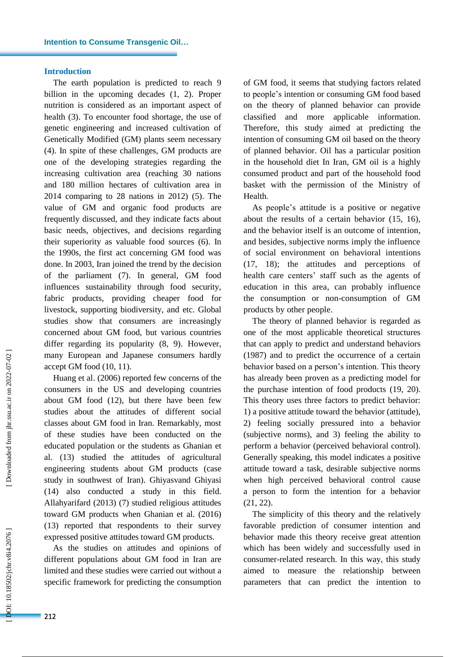# **Introduction**

l

The earth population is predicted to reach 9 billion in the upcoming decades (1, 2 ). Proper nutrition is considered as an important aspect of health (3). To encounter food shortage, the use of genetic engineering and increased cultivation of Genetically Modified (GM) plants seem necessary (4). In spite of these challenges, GM products are one of the developing strategies regarding the increasing cultivation area (reaching 30 nations and 180 million hectares of cultivation area in 2014 comparing to 28 nations in 2012) (5). The value of GM and organic food products are frequently discussed, and they indicate facts about basic needs, objectives, and decisions regarding their superiority as valuable food sources (6). In the 1990s , the first act concerning GM food was done. In 2003 , Iran joined the trend by the decision of the parliament (7). In general, GM food influences sustainability through food security, fabric products, providing cheaper food for livestock, supporting biodiversity, and etc. Global studies show that consumers are increasingly concerned about GM food , but various countries differ regarding its popularity (8, 9). However, many European and Japanese consumers hardly accept GM food (10, 11) .

Huang et al. (2006) reported few concerns of the consumers in the US and developing countries about GM food (12 ), but there have been few studies about the attitudes of different social classes about GM food in Iran. Remarkably, most of these studies have been conducted on the educated population or the students as Ghanian et al. (13) studied the attitudes of agricultural engineering students about GM products (case study in southwest of Iran ). Ghiyasvand Ghiyasi (14) also conducted a study in this field. Allahyarifard (2013 ) (7) studied religious attitudes toward GM products when Ghanian et al. (2016 ) (13) reported that respondents to their survey expressed positive attitudes toward GM products.

As the studies on attitudes and opinions of different populations about GM food in Iran are limited and these studies were carried out without a specific framework for predicting the consumption

of GM food, it seems that stud ying factors related to people's intention or consuming GM food based on the theory of planned behavior can provide classified and more applicable information. Therefore, this study aimed at predicting the intention of consuming GM oil based on the theory of planned behavior. Oil has a particular position in the household diet In Iran, GM oil is a highly consumed product and part of the household food basket with the permission of the Ministry of Health .

As people's attitude is a positive or negative about the results of a certain behavior (15, 16), and the behavior itself is an outcome of intention, and besides, subjective norms imply the influence of social environment on behavioral intentions (17, 18); the attitudes and perceptions of health care centers' staff such as the agents of education in this area, can probably influence the consumption or non -consumption of GM products by other people.

The theory of planned behavior is regarded as one of the most applicable theoretical structures that can apply to predict and understand behaviors (1987) and to predict the occurrence of a certain behavior based on a person's intention. This theory has already been proven as a predicting model for the purchase intention of food products (19, 20). This theory uses three factors to predict behavior: 1) a positive attitude toward the behavior (attitude), 2) feeling socially pressured into a behavior (subjective norms), and 3) feeling the ability to perform a behavior (perceived behavioral control). Generally speaking, this model indicates a positive attitude toward a task, desirable subjective norms when high perceived behavioral control cause a person to form the intention for a behavior (21, 22) .

The simplicity of this theory and the relatively favorable prediction of consumer intention and behavior made this theory receive great attention which has been widely and successfully used in consumer -related research. In this way, this study aimed to measure the relationship between parameters that can predict the intention to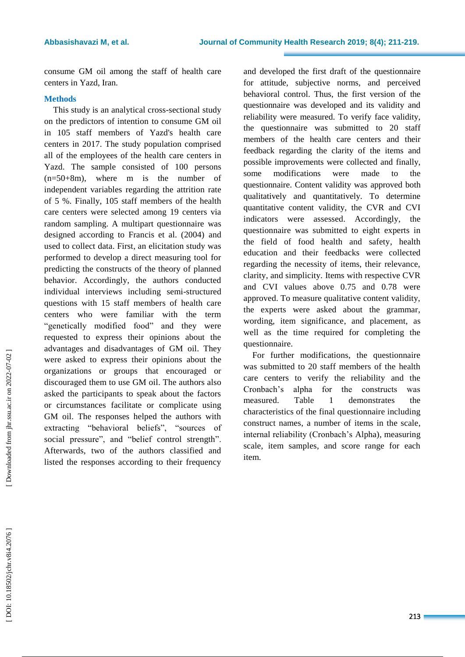consum e GM oil among the staff of health care centers in Yazd, Iran.

# **Methods**

This study is an analytical cross -sectional study on the predictors of intention to consume GM oil in 105 staff members of Yazd's health care centers in 2017. The study population comprised all of the employees of the health care centers in Yazd. The sample consisted of 100 persons (n=50+8m), where m is the number of independent variables regarding the attrition rate of 5 % . Finally , 105 staff members of the health care centers were selected among 19 centers via random sampling. A multipart questionnaire was designed according to Francis et al. (2004) and used to collect data. First , an elicitation study was performed to develop a direct measuring tool for predicting the constructs of the theory of planned behavior. Accordingly, the authors conducted individual int erviews including semi -structured questions with 15 staff members of health care centers who were familiar with the term "genetically modified food" and they were requested to express their opinions about the advantages and disadvantages of GM oil. They were asked to express their opinions about the organizations or groups that encouraged or discouraged them to use GM oil . The authors also asked the participants to speak about the factors or circumstances facili tate or complicate using GM oil. The responses helped the authors with extracting "behavioral beliefs", "sources of social pressure", and "belief control strength". Afterwards, two of the authors classified and listed the responses according to their frequency

and developed the first draft of the questionnaire for attitude, subjective norms, and perceived behavioral control. Thus , the first version of the questionnaire was developed and its validity and reliability were measured. To verify face validity, the questionnaire was submitted to 20 staff members of the health care centers and their feedback regarding the clarity of the items and possible improvements were collected and finally, some modifications were made to questionnaire. Content validity was approved both qualitatively and quantitatively. To determine quantitative content validity, the CVR and CVI indicators were assessed. Accordingly , the questionnaire was submitted to eight experts in the field of food health and safety, health education and their feedbacks were collected regarding the necessity of items, their relevance, clarity, and simplicity. Items with respective CVR and CVI values above 0.75 and 0.78 were approved. To measure qualitative content validity, the experts were asked about the grammar, wording, item significance , and placement, as well as the time required for completing the questionnaire.

For further modifications, the questionnaire was submitted to 20 staff members of the health care centers to verify the reliability and the Cronbach's alpha for the constructs was measured. Table 1 demonstrate the characteristics of the final questionnaire including construct names, a number of items in the scale, internal reliability (Cronbach's Alpha), measuring scale, item samples, and score range for each item.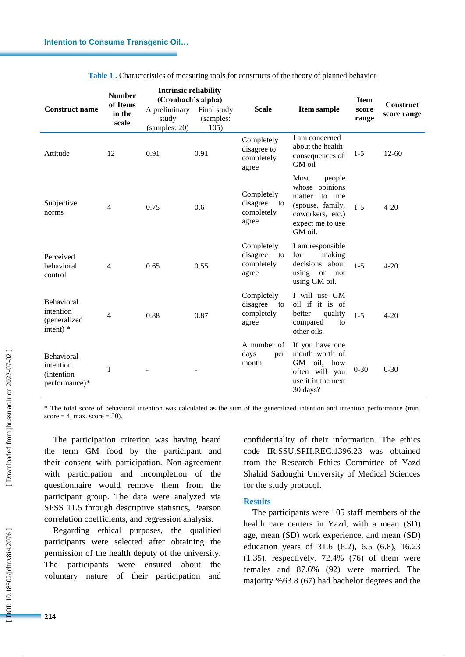l

| <b>Construct name</b>                                  | <b>Number</b><br>of Items<br>in the<br>scale | <b>Intrinsic reliability</b><br>(Cronbach's alpha)<br>A preliminary<br>study<br>(samples: 20) | Final study<br>(samples:<br>105) | <b>Scale</b>                                        | <b>Item sample</b>                                                                                                            | <b>Item</b><br>score<br>range | <b>Construct</b><br>score range |
|--------------------------------------------------------|----------------------------------------------|-----------------------------------------------------------------------------------------------|----------------------------------|-----------------------------------------------------|-------------------------------------------------------------------------------------------------------------------------------|-------------------------------|---------------------------------|
| Attitude                                               | 12                                           | 0.91                                                                                          | 0.91                             | Completely<br>disagree to<br>completely<br>agree    | I am concerned<br>about the health<br>consequences of<br>GM oil                                                               | $1 - 5$                       | $12 - 60$                       |
| Subjective<br>norms                                    | $\overline{4}$                               | 0.75                                                                                          | 0.6                              | Completely<br>disagree<br>to<br>completely<br>agree | Most<br>people<br>whose opinions<br>matter<br>to<br>me<br>(spouse, family,<br>coworkers, etc.)<br>expect me to use<br>GM oil. | $1 - 5$                       | $4 - 20$                        |
| Perceived<br>behavioral<br>control                     | $\overline{4}$                               | 0.65                                                                                          | 0.55                             | Completely<br>disagree<br>to<br>completely<br>agree | I am responsible<br>for<br>making<br>decisions about<br>using<br><b>or</b><br>not<br>using GM oil.                            | $1 - 5$                       | $4 - 20$                        |
| Behavioral<br>intention<br>(generalized<br>intent) $*$ | $\overline{4}$                               | 0.88                                                                                          | 0.87                             | Completely<br>disagree<br>to<br>completely<br>agree | I will use GM<br>oil if it is of<br>quality<br>better<br>compared<br>to<br>other oils.                                        | $1 - 5$                       | $4 - 20$                        |
| Behavioral<br>intention<br>(intention<br>performance)* | 1                                            |                                                                                               |                                  | A number of<br>days<br>per<br>month                 | If you have one<br>month worth of<br><b>GM</b><br>oil,<br>how<br>often will you<br>use it in the next<br>30 days?             | $0 - 30$                      | $0 - 30$                        |

**Table 1 .** Characteristics of measuring tools for constructs of the theory of planned behavior

\* The total score of behavioral intention was calculated as the sum of the generalized intention and intention performance (min.  $score = 4$ , max.  $score = 50$ .

The participation criterion was having heard the term GM food by the participant and their consent with participation. Non -agreement with participation and incompletion of the questionnaire would remove them from the participant group. The data were analyzed via SPSS 11.5 through descriptive statistics, Pearson correlation coefficients, and regression analysis.

Regarding ethical purposes, the qualified participants were selected after obtaining the permission of the health deputy of the university. The participants were ensured about the voluntary nature of their participation and

confidentiality of their information. The ethics code IR.SSU.SPH.REC.1396.23 was obtained from the Research Ethics Committee of Yazd Shahid Sadoughi University of Medical Sciences for the study protocol.

# **Results**

The participants were 105 staff members of the healt h care centers in Yazd, with a mean (SD) age, mean (SD) work experience, and mean (SD) education years of 31.6 ( 6.2 ), 6.5 (6.8 ), 16.23 (1.35 ), respectively. 72.4% (76) of them were females and 87.6% (92) were married. The majority %63.8 (67) had bachelor degrees and the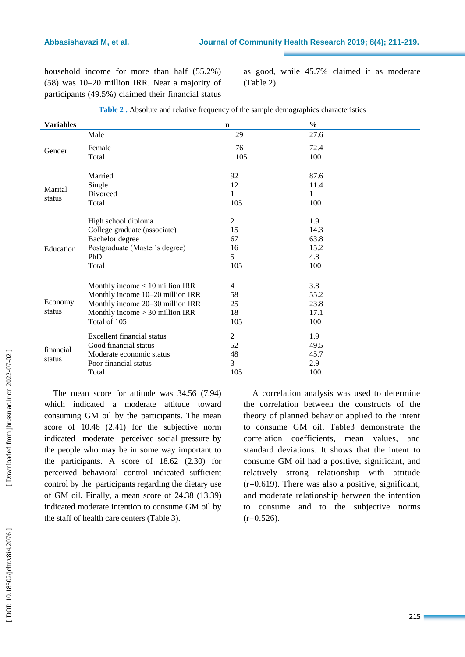### **Abbasishavazi**

household income for more than half (55.2%) (58) was 10 –20 million IRR. Near a majority of participants (49.5%) claimed their financial status

as good, while 45.7% claimed it as moderate (Table 2).

| <b>Variables</b>  |                                   | $\mathbf n$    | $\frac{0}{0}$ |
|-------------------|-----------------------------------|----------------|---------------|
|                   | Male                              | 29             | 27.6          |
| Gender            | Female                            | 76             | 72.4          |
|                   | Total                             | 105            | 100           |
| Marital<br>status | Married                           | 92             | 87.6          |
|                   | Single                            | 12             | 11.4          |
|                   | Divorced                          | 1              | 1             |
|                   | Total                             | 105            | 100           |
|                   | High school diploma               | $\overline{2}$ | 1.9           |
|                   | College graduate (associate)      | 15             | 14.3          |
|                   | Bachelor degree                   | 67             | 63.8          |
| Education         | Postgraduate (Master's degree)    | 16             | 15.2          |
|                   | PhD                               | 5              | 4.8           |
|                   | Total                             | 105            | 100           |
|                   | Monthly income $< 10$ million IRR | 4              | 3.8           |
| Economy<br>status | Monthly income 10-20 million IRR  | 58             | 55.2          |
|                   | Monthly income 20–30 million IRR  | 25             | 23.8          |
|                   | Monthly income $> 30$ million IRR | 18             | 17.1          |
|                   | Total of 105                      | 105            | 100           |
| financial         | <b>Excellent financial status</b> | 2              | 1.9           |
|                   | Good financial status             | 52             | 49.5          |
|                   | Moderate economic status          | 48             | 45.7          |
| status            | Poor financial status             | 3              | 2.9           |
|                   | Total                             | 105            | 100           |

| Table 2. Absolute and relative frequency of the sample demographics characteristics |  |  |
|-------------------------------------------------------------------------------------|--|--|
|                                                                                     |  |  |

The mean score for attitude was 34.56 (7.94 ) which indicated a moderate attitude toward consuming GM oil by the participants. The mean score of 10.46 (2.41) for the subjective norm indicated moderate perceived social pressure by the people who may be in some way important to the participants. A score of 18.62 (2.30 ) for perceived behavioral control indicated sufficient control by the participants regarding the dietary use of GM oil. Finally, a mean score of 24.38 (13.39 ) indicated moderate intention to consume GM oil by the staff of health care centers (Table 3).

A correlation analysis was used to determine the correlation between the constructs of the theory of planned behavior applied to the intent to consume GM oil. Table3 demonstrate the correlation coefficients, mean values, and standard deviations. It shows that the intent to consume GM oil had a positive, significant, and relatively strong relationship with attitude  $(r=0.619)$ . There was also a positive, significant, and moderate relationship between the intention to consume and to the subjective norms  $(r=0.526)$ .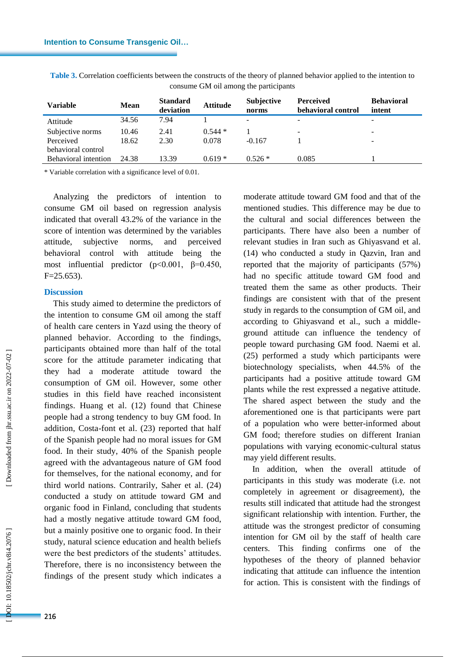| <b>Variable</b>      | <b>Mean</b> | <b>Standard</b><br>deviation | <b>Attitude</b> | <b>Subjective</b><br>norms | <b>Perceived</b><br>behavioral control | <b>Behavioral</b><br>intent |
|----------------------|-------------|------------------------------|-----------------|----------------------------|----------------------------------------|-----------------------------|
| Attitude             | 34.56       | 7.94                         |                 | -                          | $\overline{\phantom{a}}$               | -                           |
| Subjective norms     | 10.46       | 2.41                         | $0.544*$        |                            | $\overline{\phantom{a}}$               | -                           |
| Perceived            | 18.62       | 2.30                         | 0.078           | $-0.167$                   |                                        | -                           |
| behavioral control   |             |                              |                 |                            |                                        |                             |
| Behavioral intention | 24.38       | 13.39                        | $0.619*$        | $0.526*$                   | 0.085                                  |                             |
|                      |             |                              |                 |                            |                                        |                             |

**Table 3 .** Correlation coefficients between the constructs of the theory of planned behavior applied to the intention to consume GM oil among the participants

\* Variable correlation with a significance level of 0.01.

Analyzing the predictors of intention to consume GM oil based on regression analysis indicated that overall 43.2% of the variance in the score of intention was determined by the variables attitude, subjective norms, and perceived behavioral control with attitude being the most influential predictor ( $p < 0.001$ ,  $\beta = 0.450$ ,  $F = 25.653$ .

# **Discussion**

l

This study aimed to determine the predictors of the intention to consume GM oil among the staff of health care centers in Yazd using the theory of planned behavior. According to the findings, participants obtained more than half of the total score for the attitude parameter indicating that they had a moderate attitude toward the consumption of GM oil. However, some other studies in this field have reached inconsistent findings. Huang et al . (12) found that Chinese people had a strong tendency to buy GM food. In addition, Costa -font et al . (23) reported that half of the Spanish people had no moral issues for GM food. In their study, 40% of the Spanish people agreed with the advantageous nature of GM food for themselves, for the national economy, and for third world nations. Contrarily, Saher et al. (24) conducted a study on attitude toward GM and organic food in Finland, concluding that students had a mostly negative attitude toward GM food, but a mainly positive one to organic food. In their study, natural science education and health beliefs were the best predictors of the students' attitude s . Therefore, there is no inconsistency between the findings of the present study which indicate s a moderate attitude toward GM food and that of the mentioned studies. This difference may be due to the cultural and social differences between the participants. There have also been a number of relevant studies in Iran such as Ghiyasvand et al. (14) who conducted a study in Qazvin, Iran and reported that the majority of participants (57%) had no specific attitude toward GM food and treated them the same as other products. Their findings are consistent with that of the present study in regards to the consumption of GM oil, and according to Ghiyasvand et al., such a middle ground attitude can influence the tendency of people toward purchasing GM food. Naemi et al. (25) performed a study which participants were biotechnology specialists, when 44.5% of the participants had a positive attitude toward GM plants while the rest expressed a negative attitude. The shared aspect between the study and the aforementioned one is that participants were part of a population who were better -informed about GM food; therefore studies on different Iranian populations with varying economic -cultural status may yield different results.

In addition, when the overall attitude of participants in this study was moderate (i.e. not completely in agreement or disagreement), the results still indicated that attitude had the strongest significant relationship with intention. Further, the attitude was the strongest predictor of consuming intention for GM oil by the staff of health care centers. This finding confirms one of the hypotheses of the theory of planned behavior indicating that attitude can influence the intention for action. This is consistent with the findings of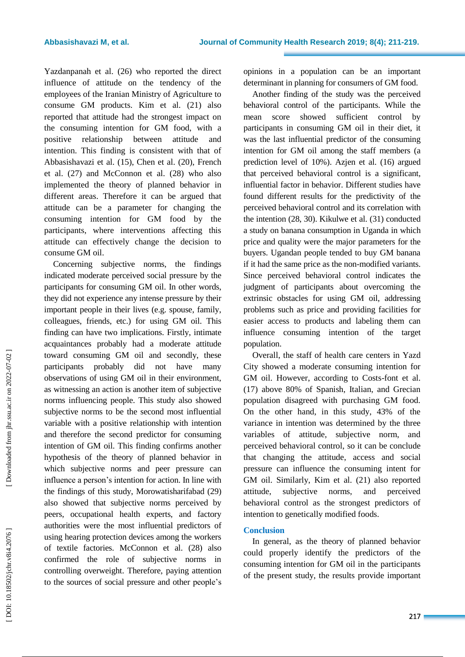Yazdanpanah et al . (26 ) who reported the direct influence of attitude on the tendency of the employees of the Iranian Ministry of Agriculture to consume GM products. Kim et al. (21 ) also reported that attitude had the strongest impact on the consuming intention for GM food, with a positive relationship between attitude and intention. This finding is consistent with that of Abbasishavazi et al. (15 ), Chen et al. (20 ), French et al. (27 ) and McConnon et al. (28 ) who also implemented the theory of planned behavior in different areas. Therefore it can be argue d that attitude can be a parameter for changing the consuming intention for GM food by the participants, where interventions affecting this attitude can effectively change the decision to consume GM oil.

Concerning subjective norms, the findings indicated moderate perceived social pressure by the participants for consuming GM oil. In other words, they did not experience any intense pressure by their important people in their lives (e.g. spouse, family, colleagues, friends, etc.) for using GM oil. This finding can have two implications. Firstly, intimate acquaintances probably had a moderate attitude toward consuming GM oil and secondly, these participants probably did not have many observations of using GM oil in their environment, as witnessing an action is another item of subjective norms influencing people. This study also showed subjective norms to be the second most influential variable with a positive relationship with intentio n and therefore the second predictor for consuming intention of GM oil. This finding confirms another hypothesis of the theory of planned behavior in which subjective norms and peer pressure can influence a person's intention for action. In line with the findings of this study, Morowatisharifabad (29 ) also showed that subjective norms perceived by peers, occupational health experts, and factory authorities were the most influential predictors of using hearing protection devices among the workers of textile factories. McConnon et al. (28 ) also confirmed the role of subjective norms in controlling overweight. Therefore, paying attention to the sources of social pressure and other people's

opinions in a population can be an important determinant in planning for consumers of GM food.

Another finding of the study was the perceived behavioral control of the participants. While the mean score showed sufficient control by participants in consuming GM oil in their diet, it was the last influential predictor of the consuming intention for GM oil among the staff members (a prediction level of 10%). Azjen et al. (16 ) argued that perceived behavioral control is a significant, influential factor in behavior. Different studies have found different results for the predictivity of the perceived behavioral control and its correlation with the intention (28, 30 ). Kikulwe et al. (31 ) conducted a study on banana consumption in Uganda in which price and quality were the major parameters for the buyers. Ugandan people tended to buy GM banana if it had the same price as the non -modified variants. Since perceived behavioral control indicates the judgment of participants about overcoming the extrinsic obstacles for using GM oil, addressing problems such as price and providing facilities for easier access to product s and labeling them can influence consuming intention of the target population.

Overall, the staff of health care centers in Yazd City showed a moderate consuming intention for GM oil. However, according to Costs -font et al. (17 ) above 80% of Spanish, Italian, and Grecian population disagreed with purchasing GM food. On the other hand, in this study, 43% of the variance in intention was determined by the three variables of attitude, subjective norm, and perceived behavioral control, so it can be conclude that changing the attitude, access and social pressure can influence the consuming intent for GM oil. Similarly, Kim et al. (21 ) also reported attitude, subjective norms, and perceived behavioral control as the strongest predictors of intention to genetically modified foods .

# **Conclusion**

In general, as the theory of planned behavior could properly identify the predictors of the consuming intention for GM oil in the participants of the present study, the results provide important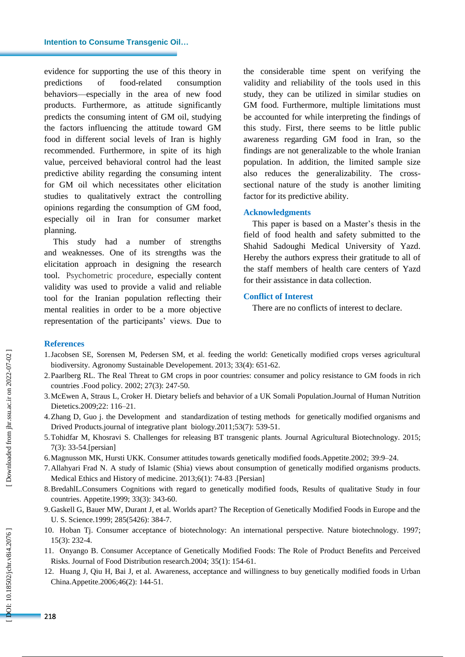l

evidence for supporting the use of this theory in predictions of food-related consumption behaviors —especially in the area of new food products. Furthermore, as attitude significantly predicts the consuming intent of GM oil, studying the factors influencing the attitude toward GM food in different social levels of Iran is highly recommended. Furthermore, in spite of its high value, perceived behavioral control had the least predictive ability regarding the consuming intent for GM oil which necessitates other elicitation studies to qualitatively extract the controlling opinions regarding the consumption of GM food, especially oil in Iran for consumer market planning.

This study had a number of strengths and weaknesses. One of its strengths was the elicitation approach in designing the research tool. Psychometric procedure, especially content validity was used to provide a valid and reliable tool for the Iranian population reflecting their mental realities in order to be a more objective representation of the participants' views. Due to the considerable time spent on verifying the validity and reliability of the tools used in this study, they can be utilized in similar studies on GM food. Furthermore, multiple limitations must be accounted for while interpreting the findings of this study. First, there seems to be little public awareness regarding GM food in Iran, so the findings are not generalizable to the whole Iranian population. In addition, the limited sample size also reduces the generalizability. The cross sectional nature of the study is another limiting factor for its predictive ability.

# **Acknowledgment s**

This paper is based on a Master's thesis in the field of food health and safety submitted to the Shahid Sadoughi Medical University of Yazd. Hereby the authors express their gratitude to all of the staff members of health care centers of Yazd for their assistance in data collection.

# **Conflict of Interest**

There are no conflicts of interest to declare.

# **Reference s**

- 1 .Jacobsen SE, Sorensen M, Pedersen SM, et al . feeding the world: Genetically modified crops verses agricultural biodiversity. Agronomy Sustainable Developement . 2013; 33(4): 651 -62.
- 2 .Paarlberg RL. The Real Threat to GM crops in poor countries: consumer and policy resistance to GM foods in rich countries .Food policy. 2002; 27(3): 247 -50.
- 3 .McEwen A, Straus L, Croker H. Dietary beliefs and behavior of a UK Somali Population.Journal of Human Nutrition Dietetics.2009;22: 116 –21.
- 4 .Zhang D, Guo j. the Development and standardization of testing methods for genetically modified organisms and Drived Products.journal of integrative plant biology.2011;53(7): 539 -51.
- 5 .Tohidfar M, Khosravi S. Challenges for releasing BT transgenic plants. Journal Agricultural Biotechnology . 2015; 7(3): 33 -54.[persian]
- 6 .Magnusson MK, Hursti UKK. Consumer attitudes towards genetically modified foods.Appetite.2002; 39:9 –24.
- 7 .Allahyari Frad N. A study of Islamic (Shia) views about consumption of genetically modified organisms products. Medical Ethics and History of medicine. 2013;6(1): 74-83 .[Persian]
- 8 .BredahlL.Consumers Cognitions with regard to genetically modified foods, Results of qualitative Study in four countries. Appetite.1999; 33(3): 343 -60.
- 9 .Gaskell G, Bauer MW, Durant J, et al. Worlds apart? The Reception of Genetically Modified Foods in Europe and the U. S. Science.1999; 285(5426): 384 -7.
- 10 . Hoban Tj. Consumer acceptance of biotechnology: An international perspective. Nature biotechnology. 1997; 15(3): 232 -4.
- 11 . Onyango B. Consumer Acceptance of Genetically Modified Foods: The Role of Product Benefits and Perceived Risks. Journal of Food Distribution research.2004; 35(1) : 154 -61.
- 12 . Huang J, Qiu H, Bai J, et al. Awareness, acceptance and willingness to buy genetically modified foods in Urban China.Appetite.2006;46(2): 144 -51.